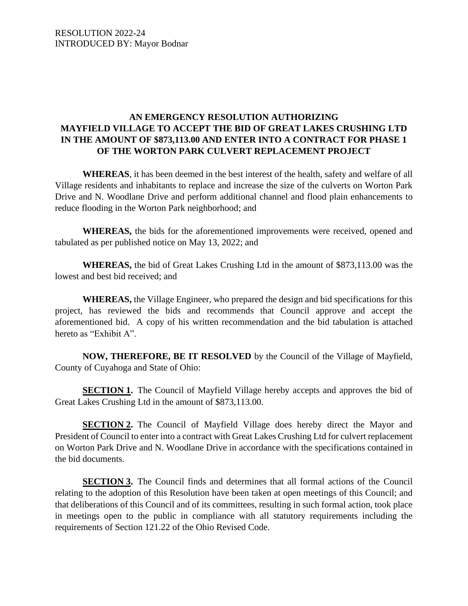# **AN EMERGENCY RESOLUTION AUTHORIZING MAYFIELD VILLAGE TO ACCEPT THE BID OF GREAT LAKES CRUSHING LTD IN THE AMOUNT OF \$873,113.00 AND ENTER INTO A CONTRACT FOR PHASE 1 OF THE WORTON PARK CULVERT REPLACEMENT PROJECT**

**WHEREAS**, it has been deemed in the best interest of the health, safety and welfare of all Village residents and inhabitants to replace and increase the size of the culverts on Worton Park Drive and N. Woodlane Drive and perform additional channel and flood plain enhancements to reduce flooding in the Worton Park neighborhood; and

**WHEREAS,** the bids for the aforementioned improvements were received, opened and tabulated as per published notice on May 13, 2022; and

**WHEREAS,** the bid of Great Lakes Crushing Ltd in the amount of \$873,113.00 was the lowest and best bid received; and

**WHEREAS,** the Village Engineer, who prepared the design and bid specifications for this project, has reviewed the bids and recommends that Council approve and accept the aforementioned bid. A copy of his written recommendation and the bid tabulation is attached hereto as "Exhibit A".

**NOW, THEREFORE, BE IT RESOLVED** by the Council of the Village of Mayfield, County of Cuyahoga and State of Ohio:

**SECTION 1.** The Council of Mayfield Village hereby accepts and approves the bid of Great Lakes Crushing Ltd in the amount of \$873,113.00.

**SECTION 2.** The Council of Mayfield Village does hereby direct the Mayor and President of Council to enter into a contract with Great Lakes Crushing Ltd for culvert replacement on Worton Park Drive and N. Woodlane Drive in accordance with the specifications contained in the bid documents.

**SECTION 3.** The Council finds and determines that all formal actions of the Council relating to the adoption of this Resolution have been taken at open meetings of this Council; and that deliberations of this Council and of its committees, resulting in such formal action, took place in meetings open to the public in compliance with all statutory requirements including the requirements of Section 121.22 of the Ohio Revised Code.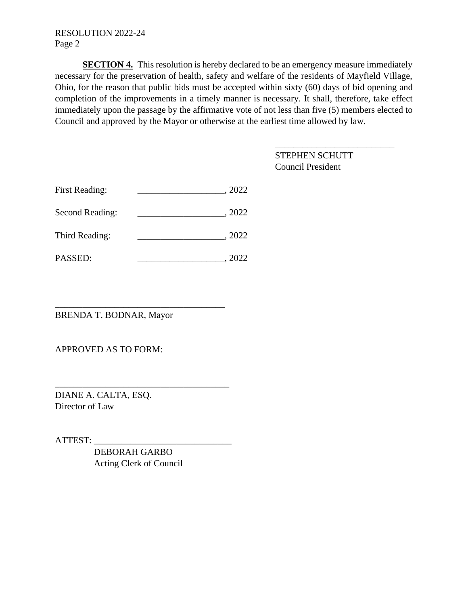#### RESOLUTION 2022-24 Page 2

**SECTION 4.** This resolution is hereby declared to be an emergency measure immediately necessary for the preservation of health, safety and welfare of the residents of Mayfield Village, Ohio, for the reason that public bids must be accepted within sixty (60) days of bid opening and completion of the improvements in a timely manner is necessary. It shall, therefore, take effect immediately upon the passage by the affirmative vote of not less than five (5) members elected to Council and approved by the Mayor or otherwise at the earliest time allowed by law.

\_\_\_\_\_\_\_\_\_\_\_\_\_\_\_\_\_\_\_\_\_\_\_\_\_\_

|                       |        | <b>STEPHEN SCHUTT</b><br><b>Council President</b> |
|-----------------------|--------|---------------------------------------------------|
| <b>First Reading:</b> | , 2022 |                                                   |
| Second Reading:       | , 2022 |                                                   |
| Third Reading:        | .2022  |                                                   |
| PASSED:               | 2022   |                                                   |

BRENDA T. BODNAR, Mayor

\_\_\_\_\_\_\_\_\_\_\_\_\_\_\_\_\_\_\_\_\_\_\_\_\_\_\_\_\_\_\_\_\_\_\_\_\_

APPROVED AS TO FORM:

DIANE A. CALTA, ESQ. Director of Law

ATTEST: \_\_\_\_\_\_\_\_\_\_\_\_\_\_\_\_\_\_\_\_\_\_\_\_\_\_\_\_\_\_

 DEBORAH GARBO Acting Clerk of Council

\_\_\_\_\_\_\_\_\_\_\_\_\_\_\_\_\_\_\_\_\_\_\_\_\_\_\_\_\_\_\_\_\_\_\_\_\_\_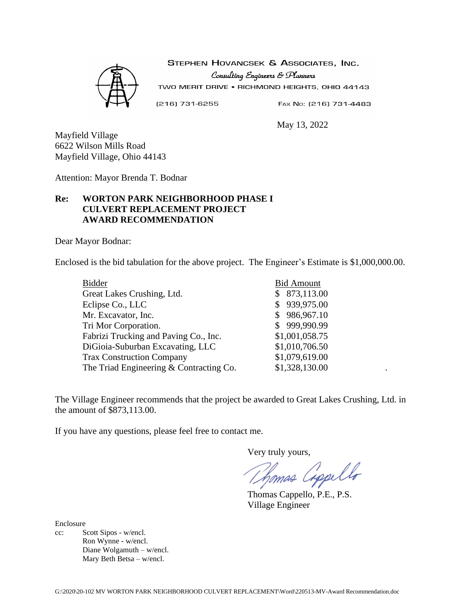

STEPHEN HOVANCSEK & ASSOCIATES, INC. Consulting Engineers & Planners TWO MERIT DRIVE . RICHMOND HEIGHTS, OHIO 44143

 $(216) 731 - 6255$ 

May 13, 2022

FAX No: (216) 731-4483

Mayfield Village 6622 Wilson Mills Road Mayfield Village, Ohio 44143

Attention: Mayor Brenda T. Bodnar

# **Re: WORTON PARK NEIGHBORHOOD PHASE I CULVERT REPLACEMENT PROJECT AWARD RECOMMENDATION**

Dear Mayor Bodnar:

Enclosed is the bid tabulation for the above project. The Engineer's Estimate is \$1,000,000.00.

| <b>Bidder</b>                           | <b>Bid Amount</b> |
|-----------------------------------------|-------------------|
| Great Lakes Crushing, Ltd.              | \$873,113.00      |
| Eclipse Co., LLC                        | \$939,975.00      |
| Mr. Excavator, Inc.                     | \$986,967.10      |
| Tri Mor Corporation.                    | \$999,990.99      |
| Fabrizi Trucking and Paving Co., Inc.   | \$1,001,058.75    |
| DiGioia-Suburban Excavating, LLC        | \$1,010,706.50    |
| <b>Trax Construction Company</b>        | \$1,079,619.00    |
| The Triad Engineering & Contracting Co. | \$1,328,130.00    |
|                                         |                   |

The Village Engineer recommends that the project be awarded to Great Lakes Crushing, Ltd. in the amount of \$873,113.00.

If you have any questions, please feel free to contact me.

Very truly yours,

homas Cippello

Thomas Cappello, P.E., P.S. Village Engineer

Enclosure

cc: Scott Sipos - w/encl. Ron Wynne - w/encl. Diane Wolgamuth – w/encl. Mary Beth Betsa – w/encl.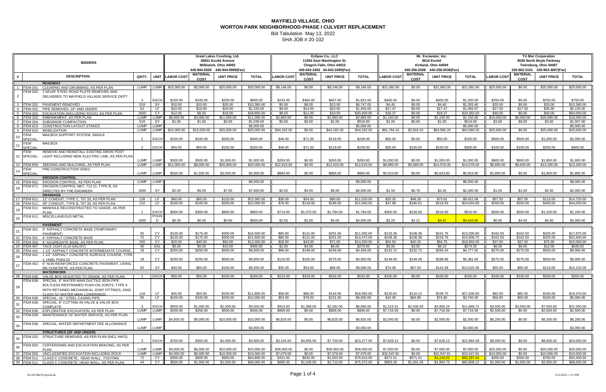SHA JOB # 20-102

|     |                             | <b>BIDDERS</b>                                                                                        |                            |                     |                         |                                | Great Lakes Crushing, Ltd.<br>30831 Euclid Avenue<br>Willowick, Ohio 44092<br>440-944-5500 440-944-9999(Fax) |                            |                         |                                | Eclipse Co., LLC<br>11554 East Washington St.<br>Chagrin Falls, Ohio 44023<br>440-543-3493 44-543-3495(Fax) |                            |                          |                                | Mr. Excavator, Inc.<br>8616 Euclid<br>Kirtland, Ohio 44094<br>440-256-2008 440-256-0036(Fax) |                            | <b>Tri Mor Corporation</b><br>8530 North Boyle Parkway<br>Twinsburg, Ohio 44087<br>330-963-3101 330-963-3097(Fax) |                         |                           |                            |  |
|-----|-----------------------------|-------------------------------------------------------------------------------------------------------|----------------------------|---------------------|-------------------------|--------------------------------|--------------------------------------------------------------------------------------------------------------|----------------------------|-------------------------|--------------------------------|-------------------------------------------------------------------------------------------------------------|----------------------------|--------------------------|--------------------------------|----------------------------------------------------------------------------------------------|----------------------------|-------------------------------------------------------------------------------------------------------------------|-------------------------|---------------------------|----------------------------|--|
|     |                             | <b>DESCRIPTION</b>                                                                                    | QNTY.                      | <b>UNIT</b>         | <b>LABOR COST</b>       | <b>MATERIAL</b><br><b>COST</b> | <b>UNIT PRICE</b>                                                                                            | <b>TOTAL</b>               | <b>LABOR COST</b>       | <b>MATERIAL</b><br><b>COST</b> | <b>UNIT PRICE</b>                                                                                           | <b>TOTAL</b>               | <b>LABOR COS</b>         | <b>MATERIAL</b><br><b>COST</b> | <b>UNIT PRICE</b>                                                                            | <b>TOTAL</b>               | <b>LABOR COST</b>                                                                                                 | MATERIAL<br><b>COST</b> | <b>UNIT PRICE</b>         | <b>TOTAL</b>               |  |
|     |                             | <b>ROADWAY</b>                                                                                        |                            |                     |                         |                                |                                                                                                              |                            |                         |                                |                                                                                                             |                            |                          |                                |                                                                                              |                            |                                                                                                                   |                         |                           |                            |  |
|     | <b>ITEM 201</b><br>FEM 202: | CLEARING AND GRUBBIING. AS PER PLAN<br>1"x8'x20' STEEL ROAD PLATE REMOVED AND                         | LUMP                       | LUMP I              | \$15.000.00             | \$5,000.00                     | \$20,000.00                                                                                                  | \$20,000.00                | \$9,146.00              | \$0.00                         | \$9,146.00                                                                                                  | \$9,146.00                 | \$21,092.00              | \$0.00                         | \$21,092.00                                                                                  | \$21,092.00                | \$25,000.00                                                                                                       | \$0.00                  | \$25,000.00               | \$25,000.00                |  |
|     |                             | DELIVERED TO MAYFIELD VILLAGE SERVICE DEPT.                                                           |                            |                     |                         |                                |                                                                                                              |                            |                         |                                |                                                                                                             |                            |                          |                                |                                                                                              |                            |                                                                                                                   |                         |                           |                            |  |
|     |                             |                                                                                                       | $\mathbf{3}$               | EACH                | \$100.00                | \$100.00                       | \$200.00                                                                                                     | \$600.00                   | \$243.00                | \$364.00                       | \$607.00                                                                                                    | \$1.821.00                 | \$400.00                 | \$0.00                         | \$400.00                                                                                     | \$1,200,00                 | \$250.00                                                                                                          | \$0.00                  | \$250.00                  | \$750.00                   |  |
|     | <b>ITEM 202:</b>            | PAVEMENT REMOVED                                                                                      | 519                        | SY                  | \$10.00                 | \$10.00                        | \$20.00                                                                                                      | \$10,380.00                | \$5.00                  | \$8.00                         | \$13.00                                                                                                     | \$6.747.00                 | \$4.40                   | \$0.00                         | \$4.40                                                                                       | \$2,283,60                 | \$20.00                                                                                                           | \$0.00                  | \$20.00                   | \$10,380,00                |  |
|     | <b>TEM 202:</b>             | PIPE REMOVED, 24" AND UNDER                                                                           | 61                         | LF                  | \$10.00                 | \$10.00                        | \$20.00                                                                                                      | \$1,220.00                 | \$9.00                  | \$14.00                        | \$23.00                                                                                                     | \$1,403.00                 | \$17.47                  | \$0.00                         | \$17.47                                                                                      | \$1,065.67                 | \$17.50                                                                                                           | \$17.50                 | \$35.00                   | \$2,135.00                 |  |
|     | TEM 203<br><b>TEM 203</b>   | EXCAVATION (INCLUDING ROCK), AS PER PLAN<br><b>EMBANKMENT, AS PER PLAN</b>                            | 1600<br>LUMP               | CY<br><b>LUMP</b>   | \$12.00<br>\$8,000.00   | \$6.00<br>\$3.000.00           | \$18.00<br>\$11.000.00                                                                                       | \$28,800.00<br>\$11,000.00 | \$8.00<br>\$2,883.00    | \$11.00<br>\$0.00              | \$19.00<br>\$2,883.00                                                                                       | \$30,400.00<br>\$2,883.00  | \$18.37<br>\$1.150.00    | \$0.00<br>\$0.00               | \$18.37<br>\$1,150.00                                                                        | \$29,392.00<br>\$1,150.00  | \$40.00<br>\$10,000.00                                                                                            | \$0.00<br>\$8,000.00    | \$40.00<br>\$18,000.00    | \$64,000.00<br>\$18,000.00 |  |
|     | TEM 204:                    | SUBGRADE COMPACTION                                                                                   | 519                        | - SY                | \$1.00                  | \$1.00                         | \$2.00                                                                                                       | \$1,038.00                 | \$0.50                  | \$0.50                         | \$1.00                                                                                                      | \$519.00                   | \$1.00                   | \$0.00                         | \$1.00                                                                                       | \$519.00                   | \$3.00                                                                                                            | \$0.00                  | \$3.00                    | \$1,557.00                 |  |
|     | TEM 623:                    | <b>CONSTRUCTION LAYOUT STAKES</b>                                                                     | <b>LUMP</b>                | <b>LUMP</b>         |                         |                                |                                                                                                              | \$5,000.00                 |                         |                                |                                                                                                             | \$5,000.00                 |                          |                                |                                                                                              | \$5,000.00                 |                                                                                                                   |                         |                           | \$5,000.00                 |  |
|     | TEM 624:                    | <b>MOBILIZATION</b>                                                                                   | <b>LUMP</b>                | <b>LUMP</b>         | \$10,000.00             | \$15,000.00                    | \$25,000.00                                                                                                  | \$25,000.00                | \$44,192.00             | \$0.00                         | \$44,192.00                                                                                                 | \$44,192.00                | \$61,764.10              | \$2,816.10                     | \$64,580.20                                                                                  | \$64,580.20                | \$25,000.00                                                                                                       | \$0.00                  | \$25,000.00               | \$25,000.00                |  |
|     | <b>FEM</b><br>SPECIAL       | MAILBOX SUPPORT SYSTEM, SINGLE                                                                        | 2                          | <b>EACH</b>         | \$100.00                | \$100.00                       | \$200.00                                                                                                     | \$400.00                   | \$48.00                 | \$71.00                        | \$119.00                                                                                                    | \$238.00                   | \$50.00                  | \$0.00                         | \$50.00                                                                                      | \$100.00                   | \$500.00                                                                                                          | \$500.00                | \$1,000.00                | \$2,000.00                 |  |
|     | TEM                         | <b>MAILBOX</b>                                                                                        |                            |                     |                         |                                |                                                                                                              |                            |                         |                                |                                                                                                             |                            |                          |                                |                                                                                              |                            |                                                                                                                   |                         |                           |                            |  |
|     | <b>SPECIAL</b>              |                                                                                                       | 2                          | <b>EACH</b>         | \$50.00                 | \$50.00                        | \$100.00                                                                                                     | \$200.00                   | \$48.00                 | \$71.00                        | \$119.00                                                                                                    | \$238.00                   | \$50.00                  | \$100.00                       | \$150.00                                                                                     | \$300.00                   | \$100.00                                                                                                          | \$100.00                | \$200.00                  | \$400.00                   |  |
|     | TEM                         | REMOVE AND REINSTALL EXISTING DRIVE POST                                                              |                            |                     |                         |                                |                                                                                                              |                            |                         |                                |                                                                                                             |                            |                          |                                |                                                                                              |                            |                                                                                                                   |                         |                           |                            |  |
|     | 12 SPECIAL:                 | LIGHT INCLUDING NEW ELECTRIC LINE. AS PER PLAN                                                        |                            |                     |                         |                                |                                                                                                              |                            |                         |                                |                                                                                                             |                            |                          |                                |                                                                                              |                            |                                                                                                                   |                         |                           |                            |  |
| 13  | TEM 659:                    | SEEDING AND MULCHING, AS PER PLAN                                                                     | <b>LUMP</b><br><b>LUMP</b> | <b>LUMP</b><br>LUMF | \$500.00<br>\$12,000.00 | \$500.00<br>\$8,000.00         | \$1,000.00<br>\$20,000,00                                                                                    | \$1,000.00<br>\$20,000.00  | \$263.00<br>\$12,610.00 | \$0.00<br>\$0.00               | \$263.00<br>\$12,610.00                                                                                     | \$263.00<br>\$12,610.00    | \$1,000.00<br>\$8,989.00 | \$0.00<br>\$5,589.00           | \$1,000.00<br>\$14,578.00                                                                    | \$1,000.00<br>\$14,578.00  | \$900.00<br>\$6,600.00                                                                                            | \$900.00<br>\$6,600.00  | \$1,800.00<br>\$13,200.00 | \$1,800.00<br>\$13,200.00  |  |
|     | ГЕМ                         | PRE-CONSTRUCTION VIDEO                                                                                |                            |                     |                         |                                |                                                                                                              |                            |                         |                                |                                                                                                             |                            |                          |                                |                                                                                              |                            |                                                                                                                   |                         |                           |                            |  |
|     | <b>SPECIAL</b>              |                                                                                                       | LUMP                       | LUMP                | \$500.00                | \$1,500.00                     | \$2,000.00                                                                                                   | \$2,000.00                 | \$884.00                | \$0.00                         | \$884.00                                                                                                    | \$884.00                   | \$5.923.80               | \$0.00                         | \$5,923.80                                                                                   | \$5.923.80                 | \$1,800.00                                                                                                        | \$0.00                  | \$1,800.00                | \$1,800.00                 |  |
|     |                             | <b>EROSION CONTROL</b>                                                                                |                            |                     |                         |                                |                                                                                                              |                            |                         |                                |                                                                                                             |                            |                          |                                |                                                                                              |                            |                                                                                                                   |                         |                           |                            |  |
| 15  | <b>ITEM 832</b>             | <b>EROSION CONTROL. AS PER PLAN</b>                                                                   | LUMP                       | LUMP                |                         |                                |                                                                                                              | \$8,000.00                 |                         |                                |                                                                                                             | \$8,000.00                 |                          |                                |                                                                                              | \$8,000.00                 |                                                                                                                   |                         |                           | \$8,000.00                 |  |
|     | FEM 671:                    | EROSION CONTROL MAT, 712.11, TYPE B, AS<br>DIRECTED BY THE ENGINEER                                   | 1000                       | SY                  | \$2.00                  | \$5.00                         | \$7.00                                                                                                       | \$7,000.00                 | \$2.00                  | \$4.00                         | \$6.00                                                                                                      | \$6,000.00                 | \$1.50                   | \$0.76                         | \$2.26                                                                                       | \$2,260.00                 | \$1.00                                                                                                            | \$1.00                  | \$2.00                    | \$2,000.00                 |  |
|     |                             | <b>DRAINAGE</b>                                                                                       |                            |                     |                         |                                |                                                                                                              |                            |                         |                                |                                                                                                             |                            |                          |                                |                                                                                              |                            |                                                                                                                   |                         |                           |                            |  |
| 17  | <b>ITEM 611:</b>            | 12" CONDUIT, TYPE C, 707.33, AS PER PLAN                                                              | 128                        | LF.                 | \$60.00                 | \$60.00                        | \$120.00                                                                                                     | \$15,360.00                | \$36.00                 | \$54.00                        | \$90.00                                                                                                     | \$11.520.00                | \$25.32                  | \$48.29                        | \$73.61                                                                                      | \$9,422.08                 | \$57.50                                                                                                           | \$57.50                 | \$115.00                  | \$14,720.00                |  |
| 18  | <b>FEM 611</b>              | 48" CONDUIT. TYPE B. 707.33. AS PER PLAN                                                              | 110                        | LF.                 | \$100.00                | \$100.00                       | \$200.00                                                                                                     | \$22,000.00                | \$78.00                 | \$118.00                       | \$196.00                                                                                                    | \$21.560.00                | \$37.98                  | \$180.61                       | \$218.59                                                                                     | \$24.044.90                | \$200.00                                                                                                          | \$200.00                | \$400.00                  | \$44,000.00                |  |
|     | FEM 611:                    | MANHOLE RECONSTRUCTED TO GRADE, AS PER<br><b>PLAN</b>                                                 |                            | <b>EACH</b>         | \$500.00                | \$300.00                       | \$800.00                                                                                                     | \$800.00                   | \$714.00                | \$1,070.00                     | \$1,784.00                                                                                                  | \$1,784.00                 | \$300.00                 | \$216.00                       | \$516.00                                                                                     | \$516.00                   | \$550.00                                                                                                          | \$550.00                | \$1,100.00                | \$1,100.00                 |  |
|     |                             | <b>FEM 611: MISCELLANEOUS METAL</b>                                                                   |                            | <b>POUN</b>         |                         |                                |                                                                                                              |                            |                         |                                |                                                                                                             |                            |                          |                                |                                                                                              |                            |                                                                                                                   |                         |                           |                            |  |
| 20  |                             |                                                                                                       | 1000                       | D.                  | \$0.30                  | \$0.30                         | \$0.60                                                                                                       | \$600.00                   | \$2.00                  | \$2.00                         | \$4.00                                                                                                      | \$4,000.00                 | \$2.20                   | \$2.21                         | \$4.41                                                                                       | \$4.410.00                 | \$0.00                                                                                                            | \$4.00                  | \$4.00                    | \$4,000.00                 |  |
|     |                             | <b>PAVEMENT</b>                                                                                       |                            |                     |                         |                                |                                                                                                              |                            |                         |                                |                                                                                                             |                            |                          |                                |                                                                                              |                            |                                                                                                                   |                         |                           |                            |  |
|     | TEM 301:                    | 6" ASPHALT CONCRETE BASE (TEMPORARY<br>PAVEMENT)                                                      | 55                         | CY                  | \$125.00                | \$175.00                       | \$300.00                                                                                                     | \$16,500.00                | \$80.00                 | \$121.00                       | \$201.00                                                                                                    | \$11,055.00                | \$133.38                 | \$108.38                       | \$241.76                                                                                     | \$13,296.80                | \$162.50                                                                                                          | \$162.50                | \$325.00                  | \$17,875.00                |  |
| -22 | <b>FEM 301</b>              | 6" ASPHALT CONCRETE BASE                                                                              | 72                         | CY.                 | \$125.00                | \$175.00                       | \$300.00                                                                                                     | \$21.600.00                | \$80.00                 | \$121.00                       | \$201.00                                                                                                    | \$14,472.00                | \$108.38                 | \$108.38                       | \$216.76                                                                                     | \$15,606.72                | \$162.50                                                                                                          | \$162.50                | \$325.00                  | \$23,400.00                |  |
| 23  | <b>FEM 304:</b>             | 6" AGGREGATE BASE. AS PER PLAN                                                                        | 200                        | CY                  | \$20.00                 | \$40.00                        | \$60.00                                                                                                      | \$12,000.00                | \$28.00                 | \$43.00                        | \$71.00                                                                                                     | \$14,200.00                | \$54.50                  | \$40.25                        | \$94.75                                                                                      | \$18,950.00                | \$37.50                                                                                                           | \$37.50                 | \$75.00                   | \$15,000.00                |  |
| 24  | <b>FEM 407:</b>             | TACK COAT (0.10 GAL/SY)                                                                               | 45                         | GAL                 | \$5.00                  | \$5.00                         | \$10.00                                                                                                      | \$450.00                   | \$2.00                  | \$4.00                         | \$6.00                                                                                                      | \$270.00                   | \$3.05                   | \$3.05                         | \$6.10                                                                                       | \$274.50                   | \$6.00                                                                                                            | \$6.00                  | \$12.00                   | \$540.00                   |  |
|     | <b>FEM 441</b>              | 1 1/2" ASPHALT CONCRETE INTERMEDIATE COURSE,<br>FEM 441: 1 1/2" ASPHALT CONCRETE SURFACE COURSE. TYPE | 18                         | CY                  | \$250.00                | \$250.00                       | \$500.00                                                                                                     | \$9,000.00                 | \$98.00                 | \$148.00                       | \$246.00                                                                                                    | \$4,428.00                 | \$132.72                 | \$132.72                       | \$265.44                                                                                     | \$4,777.92                 | \$275.00                                                                                                          | \$275.00                | \$550.00                  | \$9,900.00                 |  |
| 26  |                             | 1. (448). PG64-22                                                                                     | 18                         | CY                  | \$250.00                | \$250.00                       | \$500.00                                                                                                     | \$9.000.00                 | \$110.00                | \$165.00                       | \$275.00                                                                                                    | \$4.950.00                 | \$149.49                 | \$149.49                       | \$298.98                                                                                     | \$5.381.64                 | \$275.00                                                                                                          | \$275.00                | \$550.00                  | \$9.900.00                 |  |
| 27  | TEM 452:                    | 6" NON-REINFORCED CONCRETE PAVEMENT, USING                                                            |                            |                     |                         |                                |                                                                                                              |                            |                         |                                |                                                                                                             |                            |                          |                                |                                                                                              |                            |                                                                                                                   |                         |                           |                            |  |
|     |                             | MS CONCRETE, AS PER PLAN                                                                              | 92                         | SY                  | \$40.00                 | \$60.00                        | \$100.00                                                                                                     | \$9,200.00                 | \$35.00                 | \$53.00                        | \$88.00                                                                                                     | \$8,096.00                 | \$74.08                  | \$67.50                        | \$141.58                                                                                     | \$13,025.36                | \$55.00                                                                                                           | \$55.00                 | \$110.00                  | \$10,120.00                |  |
|     |                             | <b>WATERWORK</b><br>28 ITEM 638: VALVE BOX ADJUSTED TO GRADE, AS PER PLAN                             | $\overline{1}$             | <b>EACH</b>         | \$50.00                 | \$50.00                        | \$100.00                                                                                                     | \$100.00                   | \$213.00                | \$319.00                       | \$532.00                                                                                                    | \$532.00                   | \$100.00                 | \$0.00                         | \$100.00                                                                                     | \$100.00                   | \$100.00                                                                                                          | \$100.00                | \$200.00                  | \$200.00                   |  |
|     | TEM 638:                    | SPECIAL: 8" WATER MAIN DUCTILE IRON PIPE                                                              |                            |                     |                         |                                |                                                                                                              |                            |                         |                                |                                                                                                             |                            |                          |                                |                                                                                              |                            |                                                                                                                   |                         |                           |                            |  |
| 29  |                             | BOLTLESS RESTRAINED PUSH-ON JOINTS, TYPE II                                                           |                            |                     |                         |                                |                                                                                                              |                            |                         |                                |                                                                                                             |                            |                          |                                |                                                                                              |                            |                                                                                                                   |                         |                           |                            |  |
|     |                             | WITH RETAINED MECHANICAL JOINT FITTINGS, ANSI                                                         |                            |                     |                         |                                |                                                                                                              |                            |                         |                                |                                                                                                             |                            |                          |                                |                                                                                              |                            |                                                                                                                   |                         |                           |                            |  |
|     | 30 <b>ITEM 638:</b>         | CLASS 52 (WATER MAIN LOWERINGS)                                                                       | 118<br>50                  | LF.<br>LF           | \$45.00<br>\$100.00     | \$55.00<br>\$100.00            | \$100.00<br>\$200.00                                                                                         | \$11.800.00<br>\$10,000.00 | \$58.00<br>\$53.00      | \$86.00<br>\$78.00             | \$144.00<br>\$131.00                                                                                        | \$16,992.00<br>\$6,550.00  | \$126.62<br>\$10.00      | \$110.13<br>\$64.80            | \$236.75<br>\$74.80                                                                          | \$27.936.50<br>\$3,740.00  | \$82.50<br>\$50.00                                                                                                | \$82.50<br>\$50.00      | \$165.00<br>\$100.00      | \$19.470.00<br>\$5,000.00  |  |
|     | FEM 638:                    | SPECIAL: 16 " STEEL CASING PIPE<br>SPECIAL: 8" CUTTING-IN-VALVE & VALVE BOX                           |                            |                     |                         |                                |                                                                                                              |                            |                         |                                |                                                                                                             |                            |                          |                                |                                                                                              |                            |                                                                                                                   |                         |                           |                            |  |
|     |                             | COMPLETE                                                                                              |                            | <b>EACH</b>         | \$500.00                | \$1,000.00                     | \$1,500.00                                                                                                   | \$4.500.00                 | \$913.00                | \$1,369.00                     | \$2,282.00                                                                                                  | \$6,846.00                 | \$1,519.31               | \$2,436.93                     | \$3,956.24                                                                                   | \$11,868.72                | \$3,500.00                                                                                                        | \$3,500.00              | \$7,000.00                | \$21,000.00                |  |
|     |                             | 32 <b>ITEM 638: EXPLORATIVE EXCAVATION, AS PER PLAN</b>                                               | LUMP                       | <b>LUMP</b>         | \$250.00                | \$250.00                       | \$500.00                                                                                                     | \$500.00                   | \$806.00                | \$0.00                         | \$806.00                                                                                                    | \$806.00                   | \$7.716.59               | \$0.00                         | \$7.716.59                                                                                   | \$7.716.59                 | \$2,500.00                                                                                                        | \$0.00                  | \$2,500.00                | \$2,500.00                 |  |
| 33  |                             | FEM 638: MAINTENANCE OF WATER SERVICE, AS PER PLAN                                                    | LUMP                       | <b>LUMP</b>         | \$4.000.00              | \$6,000.00                     | \$10,000,00                                                                                                  | \$10,000.00                | \$6.825.00              | \$0.00                         | \$6.825.00                                                                                                  | \$6.825.00                 | \$2,500.00               | \$0.00                         | \$2,500.00                                                                                   | \$2,500.00                 | \$6.200.00                                                                                                        | \$0.00                  | \$6,200,00                | \$6,200.00                 |  |
|     |                             | <b>EM 638: SPECIAL: WATER DEPARTMENT FEE ALLOWANCE</b>                                                |                            |                     |                         |                                |                                                                                                              |                            |                         |                                |                                                                                                             |                            |                          |                                |                                                                                              |                            |                                                                                                                   |                         |                           |                            |  |
| 34  |                             |                                                                                                       | LUMP                       | <b>LUMP</b>         |                         |                                |                                                                                                              | \$3,000.00                 |                         |                                |                                                                                                             | \$3,000.00                 |                          |                                |                                                                                              | \$3,000.00                 |                                                                                                                   |                         |                           | \$3,000.00                 |  |
|     |                             | <b>STRUCTURES (20' AND UNDER)</b>                                                                     |                            |                     |                         |                                |                                                                                                              |                            |                         |                                |                                                                                                             |                            |                          |                                |                                                                                              |                            |                                                                                                                   |                         |                           |                            |  |
| 35  |                             | FEM 202: STRUCTURE REMOVED, AS PER PLAN (INCL HW'S)                                                   |                            |                     |                         |                                |                                                                                                              |                            |                         |                                |                                                                                                             |                            |                          |                                |                                                                                              |                            |                                                                                                                   |                         |                           |                            |  |
|     | FEM 503:                    | COFFERDAMS AND EXCAVATION BRACING, AS PER                                                             | $\overline{3}$             | <b>EACH</b>         | \$700.00                | \$300.00                       | \$1,000.00                                                                                                   | \$3.000.00                 | \$3,104.00              | \$4,655.00                     | \$7.759.00                                                                                                  | \$23,277.00                | \$7,628.13               | \$0.00                         | \$7,628.13                                                                                   | \$22,884.39                | \$8,000.00                                                                                                        | \$0.00                  | \$8,000.00                | \$24,000.00                |  |
|     |                             | PLAN                                                                                                  | LUMP                       | <b>LUMP</b>         | \$4,000.00              | \$6,000.00                     | \$10,000.00                                                                                                  | \$10,000.00                | \$39,450.00             | \$0.00                         | \$39,450.00                                                                                                 | \$39,450.00                | \$7,500.00               | \$0.00                         | \$7,500.00                                                                                   | \$7,500.00                 | \$25,000.00                                                                                                       | \$0.00                  | \$25,000.00               | \$25,000.00                |  |
|     |                             | 37 ITEM 503: UNCLASSIFIED EXCAVATION INCLUDING ROCK                                                   | LUMP                       | <b>LUMP</b>         | \$4,000.00              | \$6,000.00                     | \$10,000.00                                                                                                  | \$10,000.00                | \$7,079.00              | \$0.00                         | \$7,079.00                                                                                                  | \$7,079.00                 | \$32,547.81              | \$0.00                         | \$32,547.81                                                                                  | \$32,547.81                | \$10,000,00                                                                                                       | \$0.00                  | \$10,000.00               | \$10,000.00                |  |
| -38 |                             | ITEM 511: CLASS C CONCRETE, HEAD WALL, FOOTING                                                        | 72<br>44                   | CY                  | \$300.00<br>\$500.00    | \$600.00<br>\$1,000.00         | \$900.00<br>\$1,500.00                                                                                       | \$64,800.00<br>\$66,000.00 | \$421.00                | \$632.00<br>\$1,028.00         | \$1,053.00<br>\$1,713.00                                                                                    | \$75,816.00<br>\$75,372.00 | \$571.51<br>\$903.28     | \$571.51<br>\$1,001.45         | \$1.143.02<br>\$1,904.73                                                                     | \$82,297,44<br>\$83,808.12 | \$350.00<br>\$1,000.00                                                                                            | \$350.00<br>\$1,000.00  | \$700.00<br>\$2.000.00    | \$50,400.00<br>\$88,000.00 |  |
|     |                             | 39 ITEM 511: CLASS C CONCRETE. HEAD WALL. AS PER PLAN                                                 |                            | CY                  |                         |                                |                                                                                                              |                            | \$685.00                |                                |                                                                                                             |                            |                          |                                |                                                                                              |                            |                                                                                                                   |                         |                           |                            |  |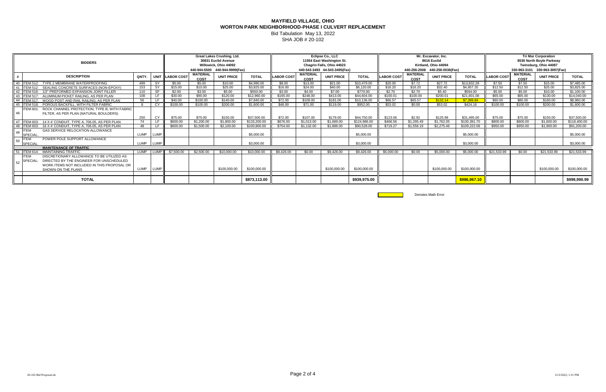SHA JOB # 20-102

|    | <b>BIDDERS</b>                                                   |       |                                |                       | <b>Great Lakes Crushing, Ltd.</b><br>30831 Euclid Avenue |                   |              |                   | Eclipse Co., LLC<br>11554 East Washington St. |                           |              |                   | Mr. Excavator, Inc.<br>8616 Euclid |                      | <b>Tri Mor Corporation</b><br>8530 North Boyle Parkway |                       |                         |                   |              |  |
|----|------------------------------------------------------------------|-------|--------------------------------|-----------------------|----------------------------------------------------------|-------------------|--------------|-------------------|-----------------------------------------------|---------------------------|--------------|-------------------|------------------------------------|----------------------|--------------------------------------------------------|-----------------------|-------------------------|-------------------|--------------|--|
|    |                                                                  |       |                                | Willowick, Ohio 44092 |                                                          |                   |              |                   |                                               | Chagrin Falls, Ohio 44023 |              |                   |                                    | Kirtland, Ohio 44094 |                                                        | Twinsburg, Ohio 44087 |                         |                   |              |  |
|    |                                                                  |       | 440-944-5500 440-944-9999(Fax) |                       |                                                          |                   |              |                   | 440-543-3493 44-543-3495(Fax)                 |                           |              |                   | 440-256-2008 440-256-0036(Fax)     |                      | 330-963-3101 330-963-3097(Fax)                         |                       |                         |                   |              |  |
|    | <b>DESCRIPTION</b>                                               | QNTY. |                                | UNIT LABOR COST       | <b>MATERIAL</b><br><b>COST</b>                           | <b>UNIT PRICE</b> | <b>TOTAL</b> | <b>LABOR COST</b> | <b>MATERIAL</b><br><b>COST</b>                | <b>UNIT PRICE</b>         | <b>TOTAL</b> | <b>LABOR COST</b> | <b>MATERIAL</b><br>COST            | <b>UNIT PRICE</b>    | <b>TOTAL</b>                                           | <b>LABOR COST</b>     | <b>MATERIAL</b><br>COST | <b>UNIT PRICE</b> | <b>TOTAL</b> |  |
|    | 40 ITEM 512: TYPE 2 MEMBRANE WATERPROOFING                       | 499   | -SY                            | \$5.00                | \$5.00                                                   | \$10.00           | \$4,990.00   | \$8.00            | \$13.00                                       | \$21.00                   | \$10.479.00  | \$20.00           | \$7.72                             | \$27.72              | \$13.832.28                                            | \$7.50                | \$7.50                  | \$15.00           | \$7,485.00   |  |
|    | 41 ITEM 512: SEALING CONCRETE SURFACES (NON-EPOXY)               | 153   | -SY                            | \$15.00               | \$10.00                                                  | \$25.00           | \$3.825.00   | \$16.00           | \$24.00                                       | \$40.00                   | \$6.120.00   | \$16.20           | \$16.20                            | \$32.40              | \$4.957.20                                             | \$12.50               | \$12.50                 | \$25.00           | \$3,825.00   |  |
|    | 42 ITEM 516: 1/2" PREFORMED EXPANSION JOINT FILLER               | 110   |                                | \$2.00                | \$3.00                                                   | \$5.00            | \$550.00     | \$3.00            | \$4.00                                        | \$7.00                    | \$770.00     | \$2.70            | \$2.70                             | \$5.40               | \$594.00                                               | \$5.00                | \$5.00                  | \$10.00           | \$1,100.00   |  |
|    | 43 ITEM 517: ALUMINUM PICKET RAILING, AS PER PLAN                | 108   |                                | \$30.00               | \$90.00                                                  | \$120.00          | \$12,960.00  | \$165.00          | \$248.00                                      | \$413.00                  | \$44,604.00  | \$100.01          | \$100.00                           | \$200.01             | \$21.601.08                                            | \$65.00               | \$65.00                 | \$130.00          | \$14,040.00  |  |
|    | 44   ITEM 517: WOOD POST AND RAIL RAILING, AS PER PLAN           | 56    |                                | \$40.00               | \$100.00                                                 | \$140.00          | \$7.840.00   | \$72.00           | \$109.00                                      | \$181.00                  | \$10.136.00  | \$66.57           | \$65.57                            | \$132.14             | \$7.399.84                                             | \$80.00               | \$80.00                 | \$160.00          | \$8.960.00   |  |
|    | 45 ITEM 518:<br>POROUS BACKFILL, WITH FILTER FABRIC              | -8    | CY                             | \$100.00              | \$100.00                                                 | \$200.00          | \$1,600.00   | \$48.00           | \$71.00                                       | \$119.00                  | \$952.00     | \$53.02           | \$0.00                             | \$53.02              | \$424.16                                               | \$100.00              | \$100.00                | \$200.00          | \$1,600.00   |  |
|    | ROCK CHANNEL PROTECTION, TYPE B, WITH FABRIC<br><b>ITEM 601:</b> |       |                                |                       |                                                          |                   |              |                   |                                               |                           |              |                   |                                    |                      |                                                        |                       |                         |                   |              |  |
| 46 | FILTER, AS PER PLAN (NATURAL BOULDERS)                           |       |                                |                       |                                                          |                   |              |                   |                                               |                           |              |                   |                                    |                      |                                                        |                       |                         |                   |              |  |
|    |                                                                  | 250   | CY                             | \$75.00               | \$75.00                                                  | \$150.00          | \$37,500.00  | \$72.00           | \$107.00                                      | \$179.00                  | \$44,750.00  | \$123.06          | \$2.92                             | \$125.98             | \$31.495.00                                            | \$75.00               | \$75.00                 | \$150.00          | \$37,500.00  |  |
|    | 47 ITEM 603: 14 X 4' CONDUIT, TYPE A, 706.05, AS PER PLAN        | 74    | LF.                            | \$600.00              | \$1,200.00                                               | \$1,800.00        | \$133,200.00 | \$676.00          | \$1.013.00                                    | \$1.689.00                | \$124,986,00 | \$466.56          | \$1.295.49                         | \$1.762.05           | \$130.391.70                                           | \$800.00              | \$800.00                | \$1,600.00        | \$118,400.00 |  |
|    | 48 ITEM 603: 16 X 4' CONDUIT, TYPE A, 706.05, AS PER PLAN        | 48    | -LF                            | \$600.00              | \$1.500.00                                               | \$2.100.00        | \$100.800.00 | \$754.00          | \$1.132.00                                    | \$1.886.00                | \$90.528.00  | \$719.27          | \$1,556.19                         | \$2.275.46           | \$109,222,08                                           | \$950.00              | \$950.00                | \$1.900.00        | \$91.200.00  |  |
|    | <b>GAS SERVICE RELOCATION ALLOWANCE</b><br>49 ITEM<br>SPECIAL    | LUMP  | LUMP                           |                       |                                                          |                   | \$5,000.00   |                   |                                               |                           | \$5,000.00   |                   |                                    |                      | \$5,000.00                                             |                       |                         |                   | \$5,000.00   |  |
|    | POWER POLE SUPPORT ALLOWANCE<br>$50$ TEM                         |       |                                |                       |                                                          |                   |              |                   |                                               |                           |              |                   |                                    |                      |                                                        |                       |                         |                   |              |  |
|    | SPECIAL                                                          | LUMP  | LUMP                           |                       |                                                          |                   | \$3.000.00   |                   |                                               |                           | \$3,000.00   |                   |                                    |                      | \$3,000.00                                             |                       |                         |                   | \$3,000.00   |  |
|    | <b>MAINTENANCE OF TRAFFIC</b>                                    |       |                                |                       |                                                          |                   |              |                   |                                               |                           |              |                   |                                    |                      |                                                        |                       |                         |                   |              |  |
|    | 51 ITEM 614:<br><b>MAINTAINING TRAFFIC</b>                       | LUMP  | LUMF                           | \$7,500.00            | \$2,500.00                                               | \$10,000.00       | \$10,000.00  | \$9,426.00        | \$0.00                                        | \$9.426.00                | \$9.426.00   | \$5,000.00        | \$0.00                             | \$5,000.00           | \$5,000.00                                             | \$21,533.99           | \$0.00                  | \$21.533.99       | \$21,533.99  |  |
|    | DISCRETIONARY ALLOWANCE TO BE UTILIZED AS<br><b>ITEM</b>         |       |                                |                       |                                                          |                   |              |                   |                                               |                           |              |                   |                                    |                      |                                                        |                       |                         |                   |              |  |
|    | $52$ SPECIAL.<br>DIRECTED BY THE ENGINEER FOR UNSCHEDULED        |       |                                |                       |                                                          |                   |              |                   |                                               |                           |              |                   |                                    |                      |                                                        |                       |                         |                   |              |  |
|    | WORK ITEMS NOT INCLUDED IN THIS PROPOSAL OR                      |       |                                |                       |                                                          |                   |              |                   |                                               |                           |              |                   |                                    |                      |                                                        |                       |                         |                   |              |  |
|    | SHOWN ON THE PLANS                                               | LUMP  | <b>LUMP</b>                    |                       |                                                          | \$100,000.00      | \$100.000.00 |                   |                                               | \$100,000,00              | \$100,000.00 |                   |                                    | \$100.000.00         | \$100,000,00                                           |                       |                         | \$100.000.00      | \$100,000.00 |  |
|    |                                                                  |       |                                |                       |                                                          |                   |              |                   |                                               |                           |              |                   |                                    |                      |                                                        |                       |                         |                   |              |  |
|    | <b>TOTAL</b>                                                     |       |                                |                       |                                                          |                   | \$873,113.00 |                   |                                               |                           | \$939,975.00 |                   |                                    |                      | \$986,967.10                                           |                       |                         |                   | \$999,990.99 |  |

Denotes Math Error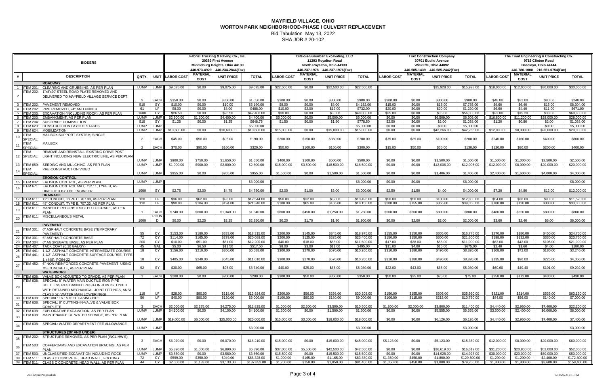SHA JOB # 20-102

|                      |                                                                                                                 |                 |                            |                          | Fabrizi Trucking & Paving Co., Inc.<br>20389 First Avenue |                                |                            |                           | DiGioia-Suburban Excavating, LLC<br>11293 Royalton Road |                                |                            |                      | <b>Trax Construction Company</b><br>30701 Euclid Avenue |                                | The Triad Engineering & Constracting Co.<br>9715 Clinton Road |                           |                                |                                |                             |  |
|----------------------|-----------------------------------------------------------------------------------------------------------------|-----------------|----------------------------|--------------------------|-----------------------------------------------------------|--------------------------------|----------------------------|---------------------------|---------------------------------------------------------|--------------------------------|----------------------------|----------------------|---------------------------------------------------------|--------------------------------|---------------------------------------------------------------|---------------------------|--------------------------------|--------------------------------|-----------------------------|--|
|                      | <b>BIDDERS</b>                                                                                                  |                 |                            |                          |                                                           | Middleburg Heights, Ohio 44130 |                            |                           |                                                         | North Royalton, Ohio 44133     |                            |                      |                                                         | Wickliffe, Ohio 44092          |                                                               | Brooklyn, Ohio 44144      |                                |                                |                             |  |
|                      |                                                                                                                 |                 |                            |                          |                                                           | 440-973-4929 440-234-2844(Fax) |                            |                           |                                                         | 440-237-1978 440-237-1976(Fax) |                            |                      |                                                         | 440-585-1439 440-585-2442(Fax) |                                                               |                           |                                | 440-786-1000 216-651-0754(Fax) |                             |  |
|                      | <b>DESCRIPTION</b>                                                                                              | QNTY.           |                            | UNIT LABOR COST          | <b>MATERIAL</b><br><b>COST</b>                            | <b>UNIT PRICE</b>              | <b>TOTAL</b>               | <b>LABOR COST</b>         | <b>MATERIAL</b><br><b>COST</b>                          | <b>UNIT PRICE</b>              | <b>TOTAL</b>               | <b>LABOR COST</b>    | <b>MATERIAL</b><br><b>COST</b>                          | <b>UNIT PRICE</b>              | <b>TOTAL</b>                                                  | <b>LABOR COS</b>          | <b>MATERIAL</b><br><b>COST</b> | <b>UNIT PRICE</b>              | <b>TOTAL</b>                |  |
|                      | <b>ROADWAY</b>                                                                                                  |                 |                            |                          |                                                           |                                |                            |                           |                                                         |                                |                            |                      |                                                         |                                |                                                               |                           |                                |                                |                             |  |
| 1 ITEM 201:          | CLEARING AND GRUBBIING, AS PER PLAN<br>1"x8'x20' STEEL ROAD PLATE REMOVED AND<br>TEM 202:                       | LUMP            | LUMP                       | \$9,075.00               | \$0.00                                                    | \$9,075.00                     | \$9,075.00                 | \$22,500.00               | \$0.00                                                  | \$22,500.00                    | \$22,500.00                |                      |                                                         | \$15,928.00                    | \$15,928.00                                                   | \$18,000.00               | \$12,000.00                    | \$30,000.00                    | \$30,000.00                 |  |
|                      | DELIVERED TO MAYFIELD VILLAGE SERVICE DEPT.                                                                     |                 |                            |                          |                                                           |                                |                            |                           |                                                         |                                |                            |                      |                                                         |                                |                                                               |                           |                                |                                |                             |  |
|                      |                                                                                                                 |                 | EACH                       | \$350.00                 | \$0.00                                                    | \$350.00                       | \$1,050.00                 | \$300.00                  | \$0.00                                                  | \$300.00                       | \$900.00                   | \$300.00             | \$0.00                                                  | \$300.00                       | \$900.00                                                      | \$48.00                   | \$32.00                        | \$80.00                        | \$240.00                    |  |
|                      | 3 ITEM 202: PAVEMENT REMOVED                                                                                    | 519             | SY                         | \$10.00                  | \$0.00                                                    | \$10.00                        | \$5,190.00                 | \$8.00                    | \$0.00                                                  | \$8.00                         | \$4,152.00                 | \$15.00              | \$0.00                                                  | \$15.00                        | \$7,785.00                                                    | \$9.60                    | \$6.40                         | \$16.00                        | \$8,304.00                  |  |
|                      | PIPE REMOVED, 24" AND UNDER<br>4 ITEM 202:<br>EXCAVATION (INCLUDING ROCK), AS PER PLAN<br><b>ITEM 203:</b>      | 61<br>1600      | LF.<br>CY.                 | \$8.00<br>\$26.50        | \$0.00<br>\$0.00                                          | \$8.00<br>\$26.50              | \$488.00<br>\$42,400.00    | \$10.00<br>\$30.00        | \$2.00<br>\$0.00                                        | \$12.00<br>\$30.00             | \$732.00<br>\$48,000.00    | \$20.00<br>\$35.00   | \$0.00<br>\$0.00                                        | \$20.00<br>\$35.00             | \$1,220.00<br>\$56,000,00                                     | \$6.60<br>\$22.80         | \$4.40<br>\$15.20              | \$11.00<br>\$38.00             | \$671.00<br>\$60,800.00     |  |
|                      | <b>EMBANKMENT, AS PER PLAN</b><br><b>ITEM 203:</b>                                                              | LUMP            | <b>LUMP</b>                | \$2,900.00               | \$1,500.00                                                | \$4,400.00                     | \$4,400.00                 | \$5,000.00                | \$0.00                                                  | \$5,000.00                     | \$5,000.00                 | \$0.00               | \$0.00                                                  | \$6,509.00                     | \$6,509.00                                                    | \$16,800.00               | \$11,200.00                    | \$28,000.00                    | \$28,000.00                 |  |
|                      | SUBGRADE COMPACTION<br><b>ITEM 204:</b>                                                                         | 519             | SY                         | \$1.25                   | \$0.00                                                    | \$1.25                         | \$648.75                   | \$1.50                    | \$0.00                                                  | \$1.50                         | \$778.50                   | \$2.00               | \$0.00                                                  | \$2.00                         | $\overline{\$1,038.00}$                                       | \$1.20                    | \$0.80                         | \$2.00                         | \$1,038.00                  |  |
| -8<br>- Q            | <b>CONSTRUCTION LAYOUT STAKES</b><br><b>ITEM 623:</b><br><b>MOBILIZATION</b><br><b>ITEM 624:</b>                | LUMP<br>LUMP    | <b>LUMP</b><br><b>LUMP</b> | \$10,600.00              | \$0.00                                                    | \$10,600.00                    | \$5,000.00<br>\$10,600.00  | \$15,000.00               | \$0.00                                                  | \$15,000.00                    | \$5,000.00<br>\$15,000.00  | \$0.00<br>\$0.00     | \$0.00<br>\$0.00                                        | \$0.00<br>\$42,266.00          | \$5,000.00<br>\$42,266.00                                     | \$12,000.00               | \$8,000.00                     | \$0.00<br>\$20,000.00          | \$5,000.00<br>\$20,000.00   |  |
| <b>ITEM</b>          | MAILBOX SUPPORT SYSTEM, SINGLE                                                                                  |                 |                            |                          |                                                           |                                |                            |                           |                                                         |                                |                            |                      |                                                         |                                |                                                               |                           |                                |                                |                             |  |
|                      | <b>SPECIAL</b>                                                                                                  |                 | <b>EACH</b>                | \$45.00                  | \$50.00                                                   | \$95.00                        | \$190.00                   | \$200.00                  | \$150.00                                                | \$350.00                       | \$700.00                   | \$75.00              | \$25.00                                                 | \$100.00                       | \$200.00                                                      | \$240.00                  | \$160.00                       | \$400.00                       | \$800.00                    |  |
| <b>ITEM</b>          | <b>MAILBOX</b><br><b>SPECIAL</b>                                                                                |                 | EACH                       | \$70.00                  | \$90.00                                                   | \$160.00                       | \$320.00                   | \$50.00                   | \$100.00                                                | \$150.00                       | \$300.00                   | \$15.00              | \$50.00                                                 | \$65.00                        | \$130.00                                                      | \$120.00                  | \$80.00                        | \$200.00                       | \$400.00                    |  |
| <b>ITEM</b>          | REMOVE AND REINSTALL EXISTING DRIVE POST                                                                        |                 |                            |                          |                                                           |                                |                            |                           |                                                         |                                |                            |                      |                                                         |                                |                                                               |                           |                                |                                |                             |  |
| 12 SPECIAL:          | LIGHT INCLUDING NEW ELECTRIC LINE, AS PER PLAN                                                                  |                 |                            |                          |                                                           |                                |                            |                           |                                                         |                                |                            |                      |                                                         |                                |                                                               |                           |                                |                                |                             |  |
|                      |                                                                                                                 | LUMP            | LUMP<br>LUMP               | \$900.00                 | \$750.00<br>\$900.00                                      | \$1,650.00                     | \$1,650.00                 | \$400.00                  | \$100.00                                                | \$500.00                       | \$500.00                   | \$0.00               | \$0.00<br>\$0.00                                        | \$1,500.00                     | \$1,500.00                                                    | \$1,500.00                | \$1,000.00                     | \$2,500.00                     | \$2,500.00                  |  |
| <b>ITEM</b>          | 13 <b>ITEM 659: SEEDING AND MULCHING, AS PER PLAN</b><br>PRE-CONSTRUCTION VIDEO                                 | LUMP            |                            | \$1,900.00               |                                                           | \$2,800.00                     | \$2,800.00                 | \$15,000.00               | \$3,500.00                                              | \$18,500.00                    | \$18,500.00                | \$0.00               |                                                         | \$12,006.00                    | \$12,006.00                                                   | \$12,000.00               | \$8,000.00                     | \$20,000.00                    | \$20,000.00                 |  |
|                      | <b>SPECIAL</b>                                                                                                  | <b>LUMP</b>     | <b>LUMP</b>                | \$955.00                 | \$0.00                                                    | \$955.00                       | \$955.00                   | \$1,500.00                | \$0.00                                                  | \$1,500.00                     | \$1,500.00                 | \$0.00               | \$0.00                                                  | \$1,406.00                     | \$1,406.00                                                    | \$2,400.00                | \$1,600.00                     | \$4,000.00                     | \$4,000.00                  |  |
|                      | <b>EROSION CONTROL</b>                                                                                          |                 |                            |                          |                                                           |                                |                            |                           |                                                         |                                |                            |                      |                                                         |                                |                                                               |                           |                                |                                |                             |  |
|                      | 15 ITEM 832:<br>EROSION CONTROL, AS PER PLAN<br>EROSION CONTROL MAT, 712.11, TYPE B, AS<br>ITEM 671:            | LUMP LUMP       |                            |                          |                                                           |                                | \$8,000.00                 |                           |                                                         |                                | \$8,000.00                 | \$0.00               | \$0.00                                                  |                                | \$8,000.00                                                    |                           |                                |                                | \$8,000.00                  |  |
|                      | DIRECTED BY THE ENGINEER                                                                                        | 1000            | <b>SY</b>                  | \$2.75                   | \$2.00                                                    | \$4.75                         | \$4,750.00                 | \$2.00                    | \$1.00                                                  | \$3.00                         | \$3.000.00                 | \$2.50               | \$1.50                                                  | \$4.00                         | \$4,000.00                                                    | \$7.20                    | \$4.80                         | \$12.00                        | \$12,000.00                 |  |
|                      | <b>DRAINAGE</b>                                                                                                 |                 |                            |                          |                                                           |                                |                            |                           |                                                         |                                |                            |                      |                                                         |                                |                                                               |                           |                                |                                |                             |  |
| 18 <b>ITEM 611</b> : | 17 <b>ITEM 611:</b><br>12" CONDUIT, TYPE C, 707.33, AS PER PLAN<br>48" CONDUIT, TYPE B, 707.33, AS PER PLAN     | 128<br>110      | LF.<br>LF.                 | \$36.00<br>\$90.00       | \$62.00<br>\$104.00                                       | \$98.00<br>\$194.00            | \$12,544.00<br>\$21,340.00 | \$50.00<br>\$100.00       | \$32.00<br>\$65.00                                      | \$82.00<br>\$165.00            | \$10,496.00<br>\$18,150.00 | \$50.00<br>\$200.00  | \$50.00<br>\$155.00                                     | \$100.00<br>\$355.00           | \$12,800.00<br>\$39,050.00                                    | \$54.00<br>\$180.00       | \$36.00<br>\$120.00            | \$90.00<br>\$300.00            | \$11,520.00<br>\$33,000.00  |  |
|                      | MANHOLE RECONSTRUCTED TO GRADE, AS PER<br>ITEM 611:                                                             |                 |                            |                          |                                                           |                                |                            |                           |                                                         |                                |                            |                      |                                                         |                                |                                                               |                           |                                |                                |                             |  |
|                      | <b>PLAN</b>                                                                                                     |                 | <b>EACH</b>                | \$740.00                 | \$600.00                                                  | \$1,340.00                     | \$1.340.00                 | \$800.00                  | \$450.00                                                | \$1,250.00                     | \$1,250.00                 | \$500.00             | \$300.00                                                | \$800.00                       | \$800.00                                                      | \$480.00                  | \$320.00                       | \$800.00                       | \$800.00                    |  |
|                      | ITEM 611: MISCELLANEOUS METAL                                                                                   | 1000            | <b>POUN</b>                | \$0.00                   | \$2.25                                                    | \$2.25                         | \$2,250.00                 | \$0.20                    | \$1.70                                                  | \$1.90                         | \$1,900.00                 | \$0.00               | \$2.00                                                  | \$2.00                         | \$2,000.00                                                    | \$3.60                    | \$2.40                         | \$6.00                         | \$6,000.00                  |  |
|                      | <b>PAVEMENT</b>                                                                                                 |                 |                            |                          |                                                           |                                |                            |                           |                                                         |                                |                            |                      |                                                         |                                |                                                               |                           |                                |                                |                             |  |
|                      | ITEM 301: 6" ASPHALT CONCRETE BASE (TEMPORARY                                                                   |                 |                            |                          |                                                           |                                |                            |                           |                                                         |                                |                            |                      |                                                         |                                |                                                               |                           |                                |                                |                             |  |
|                      | PAVEMENT)<br>ITEM 301: 6" ASPHALT CONCRETE BASE                                                                 | 55<br>72        | CY.<br>CY                  | \$153.00<br>\$114.00     | \$180.00<br>\$165.00                                      | \$333.00<br>\$279.00           | \$18,315.00<br>\$20,088.00 | \$200.00<br>\$200.00      | \$145.00<br>\$125.00                                    | \$345.00<br>\$325.00           | \$18,975.00<br>\$23,400.00 | \$155.00<br>\$150.00 | \$150.00<br>\$150.00                                    | \$305.00<br>\$300.00           | \$16,775.00<br>\$21,600.00                                    | \$270.00<br>\$198.00      | \$180.00<br>\$132.00           | \$450.00<br>\$330.00           | \$24.750.00<br>\$23,760.00  |  |
| 23                   | <b>ITEM 304:</b><br>6" AGGREGATE BASE, AS PER PLAN                                                              | 200             | CY                         | \$10.00                  | \$51.00                                                   | \$61.00                        | \$12,200.00                | \$40.00                   | \$18.00                                                 | \$58.00                        | \$11,600.00                | \$17.00              | \$38.00                                                 | \$55.00                        | \$11,000.00                                                   | \$63.00                   | \$42.00                        | \$105.00                       | \$21,000.00                 |  |
| 24                   | TACK COAT (0.10 GAL/SY)<br><b>ITEM 407:</b>                                                                     | 45              | GAL                        | \$5.00                   | \$6.50                                                    | \$11.50                        | \$517.50                   | \$8.00                    | \$3.00                                                  | \$11.00                        | \$495.00                   | \$11.00              | \$4.00                                                  | \$15.00                        | \$675.00                                                      | \$2.40                    | \$1.60                         | \$4.00                         | \$180.00                    |  |
| 25                   | ITEM 441: 1 1/2" ASPHALT CONCRETE INTERMEDIATE COURSE,                                                          | 18              | CY                         | \$156.00                 | \$210.00                                                  | \$366.00                       | \$6,588.00                 | \$300.00                  | \$270.00                                                | \$570.00                       | \$10,260.00                | \$310.00             | \$180.00                                                | \$490.00                       | \$8,820.00                                                    | \$108.00                  | \$72.00                        | \$180.00                       | \$3,240.00                  |  |
|                      | FEM 441: 1 1/2" ASPHALT CONCRETE SURFACE COURSE, TYPE<br>1. (448). PG64-22                                      | 18              | CY                         | \$405.00                 | \$240.00                                                  | \$645.00                       | \$11,610.00                | \$300.00                  | \$270.00                                                | \$570.00                       | \$10,260.00                | \$310.00             | \$180.00                                                | \$490.00                       | \$8,820.00                                                    | \$135.00                  | \$90.00                        | \$225.00                       | \$4,050.00                  |  |
|                      | ITEM 452: 6" NON-REINFORCED CONCRETE PAVEMENT, USING                                                            |                 |                            |                          |                                                           |                                |                            |                           |                                                         |                                |                            |                      |                                                         |                                |                                                               |                           |                                |                                |                             |  |
|                      | MS CONCRETE, AS PER PLAN                                                                                        | 92              | SY                         | \$30.00                  | \$65.00                                                   | \$95.00                        | \$8,740.00                 | \$40.00                   | \$25.00                                                 | \$65.00                        | \$5,980.00                 | \$22.00              | \$43.00                                                 | \$65.00                        | \$5,980.00                                                    | \$60.60                   | \$40.40                        | \$101.00                       | \$9,292.00                  |  |
|                      | <b>WATERWORK</b><br>28 ITEM 638: VALVE BOX ADJUSTED TO GRADE, AS PER PLAN                                       |                 | <b>EACH</b>                | \$200.00                 | \$0.00                                                    | \$200.00                       | \$200.00                   | \$300.00                  | \$50.00                                                 | \$350.00                       | \$350.00                   | \$50.00              | \$25.00                                                 | \$75.00                        | \$75.00                                                       | \$258.00                  | \$172.00                       | \$430.00                       | \$430.00                    |  |
|                      | ITEM 638: SPECIAL: 8" WATER MAIN DUCTILE IRON PIPE                                                              |                 |                            |                          |                                                           |                                |                            |                           |                                                         |                                |                            |                      |                                                         |                                |                                                               |                           |                                |                                |                             |  |
| 29                   | BOLTLESS RESTRAINED PUSH-ON JOINTS. TYPE II                                                                     |                 |                            |                          |                                                           |                                |                            |                           |                                                         |                                |                            |                      |                                                         |                                |                                                               |                           |                                |                                |                             |  |
|                      | WITH RETAINED MECHANICAL JOINT FITTINGS, ANSI<br>CLASS 52 (WATER MAIN LOWERINGS)                                | 118             | LF.                        | \$28.00                  | \$90.00                                                   | \$118.00                       | \$13.924.00                | \$200.00                  | \$56.00                                                 | \$256.00                       | \$30.208.00                | \$150.00             | \$155.00                                                | \$305.00                       | \$35.990.00                                                   | \$321.00                  | \$214.00                       | \$535.00                       | \$63,130.00                 |  |
|                      | 30 <b>ITEM 638:</b> SPECIAL: 16 " STEEL CASING PIPE                                                             | 50              | LF .                       | \$40.00                  | \$80.00                                                   | \$120.00                       | \$6.000.00                 | \$100.00                  | \$80.00                                                 | \$180.00                       | \$9.000.00                 | \$100.00             | \$115.00                                                | \$215.00                       | \$10,750.00                                                   | \$84.00                   | \$56.00                        | \$140.00                       | \$7,000.00                  |  |
|                      | ITEM 638: SPECIAL: 8" CUTTING-IN-VALVE & VALVE BOX                                                              |                 |                            |                          |                                                           |                                |                            |                           |                                                         |                                |                            |                      |                                                         |                                |                                                               |                           |                                |                                |                             |  |
|                      | COMPLETE<br>32 <b>ITEM 638: EXPLORATIVE EXCAVATION, AS PER PLAN</b>                                             | LUMP            | EACH<br>LUMP               | \$2,000.00<br>\$4,100.00 | \$2,275.00<br>\$0.00                                      | \$4,275.00<br>\$4,100.00       | \$12,825.00<br>\$4,100.00  | \$1,000.00<br>\$1,500.00  | \$2,500.00<br>\$0.00                                    | \$3,500.00<br>\$1,500.00       | \$10,500.00<br>\$1,500.00  | \$1,800.00<br>\$0.00 | \$2,000.00<br>\$0.00                                    | \$3,800.00<br>\$5,555.00       | \$11.400.00<br>\$5,555.00                                     | \$4,440.00<br>\$3,600.00  | \$2,960.00<br>\$2,400.00       | \$7,400.00<br>\$6,000.00       | \$22,200.00<br>\$6,000.00   |  |
|                      | ITEM 638: MAINTENANCE OF WATER SERVICE, AS PER PLAN                                                             |                 |                            |                          |                                                           |                                |                            |                           |                                                         |                                |                            |                      |                                                         |                                |                                                               |                           |                                |                                |                             |  |
|                      |                                                                                                                 | LUMP            | LUMP I                     | \$19,000.00              | \$6,000.00                                                | \$25,000.00                    | \$25,000.00                | \$15,000.00               | \$3,000.00                                              | \$18,000.00                    | \$18,000.00                | \$0.00               | \$0.00                                                  | \$6,126.00                     | \$6,126.00                                                    | \$4,440.00                | \$2,960.00                     | \$7,400.00                     | \$7,400.00                  |  |
|                      | ITEM 638: SPECIAL: WATER DEPARTMENT FEE ALLOWANCE                                                               | LUMP            | <b>LUMP</b>                |                          |                                                           |                                | \$3,000.00                 |                           |                                                         |                                | \$3.000.00                 |                      |                                                         |                                | \$3,000.00                                                    |                           |                                |                                | \$3,000.00                  |  |
|                      | <b>STRUCTURES (20' AND UNDER)</b>                                                                               |                 |                            |                          |                                                           |                                |                            |                           |                                                         |                                |                            |                      |                                                         |                                |                                                               |                           |                                |                                |                             |  |
|                      | ITEM 202: STRUCTURE REMOVED, AS PER PLAN (INCL HW'S)                                                            |                 | EACH                       | \$6,070.00               | \$0.00                                                    | \$6.070.00                     | \$18.210.00                | \$15,000.00               | \$0.00                                                  | \$15,000.00                    | \$45,000.00                | \$5.123.00           | \$0.00                                                  | \$5,123.00                     | \$15,369.00                                                   | \$12,000.00               | \$8.000.00                     | \$20,000.00                    | \$60,000,00                 |  |
|                      | ITEM 503: COFFERDAMS AND EXCAVATION BRACING, AS PER                                                             |                 |                            |                          |                                                           |                                |                            |                           |                                                         |                                |                            |                      |                                                         |                                |                                                               |                           |                                |                                |                             |  |
|                      | <b>PLAN</b>                                                                                                     | LUMP            | LUMP                       | \$5.890.00               | \$1,000.00                                                | \$6,890.00                     | \$6.890.00                 | \$37,000.00               | \$5.500.00                                              | \$42,500.00                    | \$42,500.00                | \$0.00               | \$0.00                                                  | \$16,619.00                    | \$16,619.00                                                   | \$31,200.00               | \$20,800.00                    | \$52,000.00                    | \$52,000.00                 |  |
|                      | 37 <b>ITEM 503: UNCLASSIFIED EXCAVATION INCLUDING ROCK</b><br>38 ITEM 511: CLASS C CONCRETE, HEAD WALL, FOOTING | LUMP LUMP<br>72 | CY                         | \$3,560.00<br>\$599.00   | \$0.00<br>\$350.00                                        | \$3,560.00<br>\$949.00         | \$3,560.00<br>\$68,328.00  | \$15,500.00<br>\$1,000.00 | \$0.00<br>\$165.00                                      | \$15,500.00<br>\$1,165.00      | \$15,500.00<br>\$83,880.00 | \$0.00<br>\$1,350.00 | \$0.00<br>\$450.00                                      | \$14,928.00<br>\$1,800.00      | \$14,928.00<br>\$129,600.00                                   | \$30,000.00<br>\$1,200.00 | \$20,000.00<br>\$1,200.00      | \$50,000.00<br>\$2,400.00      | \$50,000.00<br>\$172,800.00 |  |
|                      | 39 ITEM 511: CLASS C CONCRETE, HEAD WALL, AS PER PLAN                                                           | 44              | CY                         | \$2,000.00               | \$1,133.00                                                | \$3,133.00                     | \$137,852.00               | \$1,700.00                | \$150.00                                                | \$1,850.00                     | \$81,400.00                | \$1,350.00           | \$450.00                                                | \$1,800.00                     | \$79,200.00                                                   | \$1,800.00                | \$1,800.00                     | \$3,600.00                     | \$158,400.00                |  |